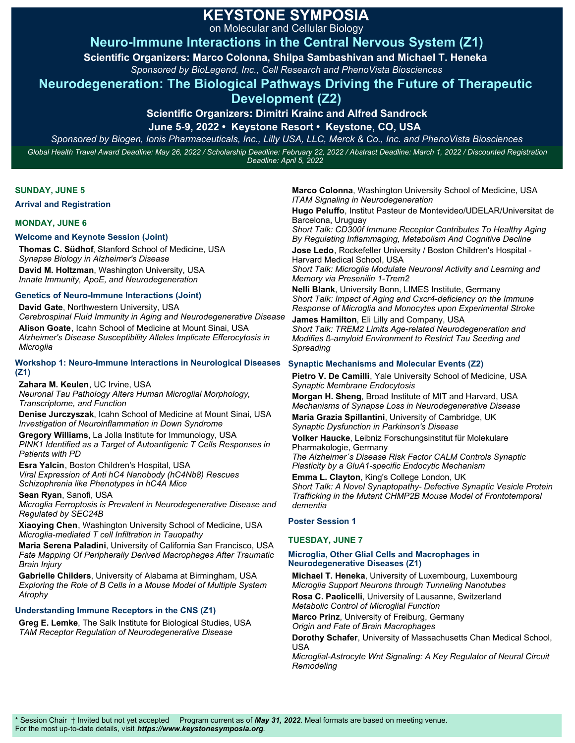on Molecular and Cellular Biology

# **Neuro-Immune Interactions in the Central Nervous System (Z1)**

**Scientific Organizers: Marco Colonna, Shilpa Sambashivan and Michael T. Heneka** 

*Sponsored by BioLegend, Inc., Cell Research and PhenoVista Biosciences*

## **Neurodegeneration: The Biological Pathways Driving the Future of Therapeutic**

**Development (Z2)**

**Scientific Organizers: Dimitri Krainc and Alfred Sandrock**

**June 5-9, 2022 • Keystone Resort • Keystone, CO, USA** 

*Sponsored by Biogen, Ionis Pharmaceuticals, Inc., Lilly USA, LLC, Merck & Co., Inc. and PhenoVista Biosciences Global Health Travel Award Deadline: May 26, 2022 / Scholarship Deadline: February 22, 2022 / Abstract Deadline: March 1, 2022 / Discounted Registration Deadline: April 5, 2022*

### **SUNDAY, JUNE 5**

**Arrival and Registration** 

### **MONDAY, JUNE 6**

### **Welcome and Keynote Session (Joint)**

**Thomas C. Südhof**, Stanford School of Medicine, USA *Synapse Biology in Alzheimer's Disease* **David M. Holtzman**, Washington University, USA *Innate Immunity, ApoE, and Neurodegeneration*

#### **Genetics of Neuro-Immune Interactions (Joint)**

**David Gate**, Northwestern University, USA *Cerebrospinal Fluid Immunity in Aging and Neurodegenerative Disease* **Alison Goate**, Icahn School of Medicine at Mount Sinai, USA *Alzheimer's Disease Susceptibility Alleles Implicate Efferocytosis in Microglia*

#### **Workshop 1: Neuro-Immune Interactions in Neurological Diseases (Z1)**

**Zahara M. Keulen**, UC Irvine, USA *Neuronal Tau Pathology Alters Human Microglial Morphology, Transcriptome, and Function*

**Denise Jurczyszak**, Icahn School of Medicine at Mount Sinai, USA *Investigation of Neuroinflammation in Down Syndrome*

**Gregory Williams**, La Jolla Institute for Immunology, USA *PINK1 Identified as a Target of Autoantigenic T Cells Responses in Patients with PD*

**Esra Yalcin**, Boston Children's Hospital, USA *Viral Expression of Anti hC4 Nanobody (hC4Nb8) Rescues Schizophrenia like Phenotypes in hC4A Mice*

**Sean Ryan**, Sanofi, USA

*Microglia Ferroptosis is Prevalent in Neurodegenerative Disease and Regulated by SEC24B*

**Xiaoying Chen**, Washington University School of Medicine, USA *Microglia-mediated T cell Infiltration in Tauopathy*

**Maria Serena Paladini**, University of California San Francisco, USA *Fate Mapping Of Peripherally Derived Macrophages After Traumatic Brain Injury*

**Gabrielle Childers**, University of Alabama at Birmingham, USA *Exploring the Role of B Cells in a Mouse Model of Multiple System Atrophy*

### **Understanding Immune Receptors in the CNS (Z1)**

**Greg E. Lemke**, The Salk Institute for Biological Studies, USA *TAM Receptor Regulation of Neurodegenerative Disease*

**Marco Colonna**, Washington University School of Medicine, USA *ITAM Signaling in Neurodegeneration*

**Hugo Peluffo**, Institut Pasteur de Montevideo/UDELAR/Universitat de Barcelona, Uruguay

*Short Talk: CD300f Immune Receptor Contributes To Healthy Aging By Regulating Inflammaging, Metabolism And Cognitive Decline*

**Jose Ledo**, Rockefeller University / Boston Children's Hospital - Harvard Medical School, USA

*Short Talk: Microglia Modulate Neuronal Activity and Learning and Memory via Presenilin 1-Trem2* 

**Nelli Blank**, University Bonn, LIMES Institute, Germany *Short Talk: Impact of Aging and Cxcr4-deficiency on the Immune Response of Microglia and Monocytes upon Experimental Stroke*

**James Hamilton**, Eli Lilly and Company, USA *Short Talk: TREM2 Limits Age-related Neurodegeneration and Modifies ß-amyloid Environment to Restrict Tau Seeding and Spreading*

### **Synaptic Mechanisms and Molecular Events (Z2)**

**Pietro V. De Camilli**, Yale University School of Medicine, USA *Synaptic Membrane Endocytosis*

**Morgan H. Sheng**, Broad Institute of MIT and Harvard, USA *Mechanisms of Synapse Loss in Neurodegenerative Disease*

**Maria Grazia Spillantini**, University of Cambridge, UK *Synaptic Dysfunction in Parkinson's Disease*

**Volker Haucke**, Leibniz Forschungsinstitut für Molekulare Pharmakologie, Germany

*The Alzheimer´s Disease Risk Factor CALM Controls Synaptic Plasticity by a GluA1-specific Endocytic Mechanism*

**Emma L. Clayton**, King's College London, UK *Short Talk: A Novel Synaptopathy- Defective Synaptic Vesicle Protein Trafficking in the Mutant CHMP2B Mouse Model of Frontotemporal dementia*

### **Poster Session 1**

### **TUESDAY, JUNE 7**

### **Microglia, Other Glial Cells and Macrophages in Neurodegenerative Diseases (Z1)**

**Michael T. Heneka**, University of Luxembourg, Luxembourg *Microglia Support Neurons through Tunneling Nanotubes* **Rosa C. Paolicelli**, University of Lausanne, Switzerland

*Metabolic Control of Microglial Function*

**Marco Prinz**, University of Freiburg, Germany

*Origin and Fate of Brain Macrophages* 

**Dorothy Schafer**, University of Massachusetts Chan Medical School, USA

*Microglial-Astrocyte Wnt Signaling: A Key Regulator of Neural Circuit Remodeling*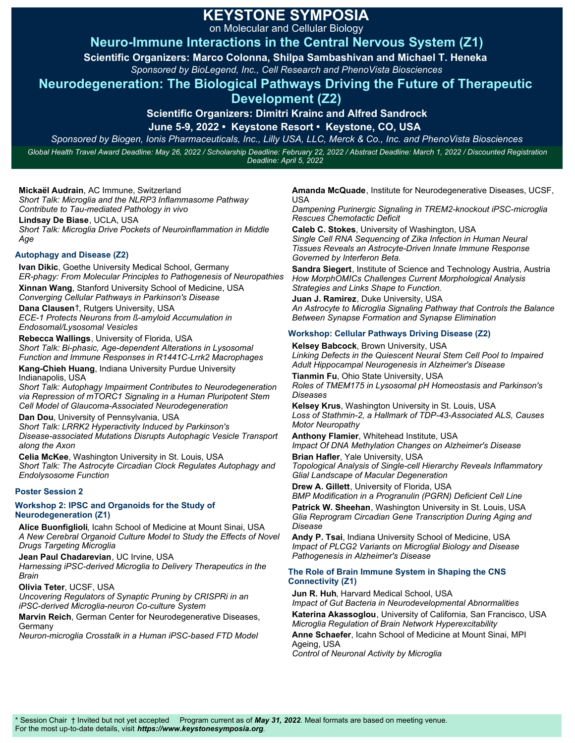on Molecular and Cellular Biology

# **Neuro-Immune Interactions in the Central Nervous System (Z1)**

**Scientific Organizers: Marco Colonna, Shilpa Sambashivan and Michael T. Heneka** 

*Sponsored by BioLegend, Inc., Cell Research and PhenoVista Biosciences*

## **Neurodegeneration: The Biological Pathways Driving the Future of Therapeutic**

## **Development (Z2)**

**Scientific Organizers: Dimitri Krainc and Alfred Sandrock**

**June 5-9, 2022 • Keystone Resort • Keystone, CO, USA** 

*Sponsored by Biogen, Ionis Pharmaceuticals, Inc., Lilly USA, LLC, Merck & Co., Inc. and PhenoVista Biosciences Global Health Travel Award Deadline: May 26, 2022 / Scholarship Deadline: February 22, 2022 / Abstract Deadline: March 1, 2022 / Discounted Registration Deadline: April 5, 2022*

**Mickaël Audrain**, AC Immune, Switzerland *Short Talk: Microglia and the NLRP3 Inflammasome Pathway Contribute to Tau-mediated Pathology in vivo*

**Lindsay De Biase**, UCLA, USA

*Short Talk: Microglia Drive Pockets of Neuroinflammation in Middle Age*

### **Autophagy and Disease (Z2)**

**Ivan Dikic**, Goethe University Medical School, Germany *ER-phagy: From Molecular Principles to Pathogenesis of Neuropathies* **Xinnan Wang**, Stanford University School of Medicine, USA *Converging Cellular Pathways in Parkinson's Disease*

**Dana Clausen**†, Rutgers University, USA

*ECE-1 Protects Neurons from ß-amyloid Accumulation in Endosomal/Lysosomal Vesicles*

**Rebecca Wallings**, University of Florida, USA *Short Talk: Bi-phasic, Age-dependent Alterations in Lysosomal Function and Immune Responses in R1441C-Lrrk2 Macrophages*

**Kang-Chieh Huang**, Indiana University Purdue University Indianapolis, USA

*Short Talk: Autophagy Impairment Contributes to Neurodegeneration via Repression of mTORC1 Signaling in a Human Pluripotent Stem Cell Model of Glaucoma-Associated Neurodegeneration*

**Dan Dou**, University of Pennsylvania, USA

*Short Talk: LRRK2 Hyperactivity Induced by Parkinson's Disease-associated Mutations Disrupts Autophagic Vesicle Transport along the Axon*

**Celia McKee**, Washington University in St. Louis, USA *Short Talk: The Astrocyte Circadian Clock Regulates Autophagy and Endolysosome Function*

### **Poster Session 2**

#### **Workshop 2: IPSC and Organoids for the Study of Neurodegeneration (Z1)**

**Alice Buonfiglioli**, Icahn School of Medicine at Mount Sinai, USA *A New Cerebral Organoid Culture Model to Study the Effects of Novel Drugs Targeting Microglia*

**Jean Paul Chadarevian**, UC Irvine, USA *Harnessing iPSC-derived Microglia to Delivery Therapeutics in the Brain*

**Olivia Teter**, UCSF, USA

*Uncovering Regulators of Synaptic Pruning by CRISPRi in an iPSC-derived Microglia-neuron Co-culture System*

**Marvin Reich**, German Center for Neurodegenerative Diseases, Germany

*Neuron-microglia Crosstalk in a Human iPSC-based FTD Model*

**Amanda McQuade**, Institute for Neurodegenerative Diseases, UCSF, USA

*Dampening Purinergic Signaling in TREM2-knockout iPSC-microglia Rescues Chemotactic Deficit*

**Caleb C. Stokes**, University of Washington, USA *Single Cell RNA Sequencing of Zika Infection in Human Neural Tissues Reveals an Astrocyte-Driven Innate Immune Response Governed by Interferon Beta.*

**Sandra Siegert**, Institute of Science and Technology Austria, Austria *How MorphOMICs Challenges Current Morphological Analysis Strategies and Links Shape to Function.*

**Juan J. Ramirez**, Duke University, USA *An Astrocyte to Microglia Signaling Pathway that Controls the Balance Between Synapse Formation and Synapse Elimination*

### **Workshop: Cellular Pathways Driving Disease (Z2)**

**Kelsey Babcock**, Brown University, USA *Linking Defects in the Quiescent Neural Stem Cell Pool to Impaired Adult Hippocampal Neurogenesis in Alzheimer's Disease*

**Tianmin Fu**, Ohio State University, USA *Roles of TMEM175 in Lysosomal pH Homeostasis and Parkinson's Diseases*

**Kelsey Krus**, Washington University in St. Louis, USA *Loss of Stathmin-2, a Hallmark of TDP-43-Associated ALS, Causes Motor Neuropathy*

**Anthony Flamier**, Whitehead Institute, USA *Impact Of DNA Methylation Changes on Alzheimer's Disease*

**Brian Hafler**, Yale University, USA *Topological Analysis of Single-cell Hierarchy Reveals Inflammatory Glial Landscape of Macular Degeneration*

**Drew A. Gillett**, University of Florida, USA *BMP Modification in a Progranulin (PGRN) Deficient Cell Line*

**Patrick W. Sheehan**, Washington University in St. Louis, USA *Glia Reprogram Circadian Gene Transcription During Aging and Disease*

**Andy P. Tsai**, Indiana University School of Medicine, USA *Impact of PLCG2 Variants on Microglial Biology and Disease Pathogenesis in Alzheimer's Disease* 

#### **The Role of Brain Immune System in Shaping the CNS Connectivity (Z1)**

**Jun R. Huh**, Harvard Medical School, USA

*Impact of Gut Bacteria in Neurodevelopmental Abnormalities*  **Katerina Akassoglou**, University of California, San Francisco, USA *Microglia Regulation of Brain Network Hyperexcitability* **Anne Schaefer**, Icahn School of Medicine at Mount Sinai, MPI Ageing, USA

*Control of Neuronal Activity by Microglia*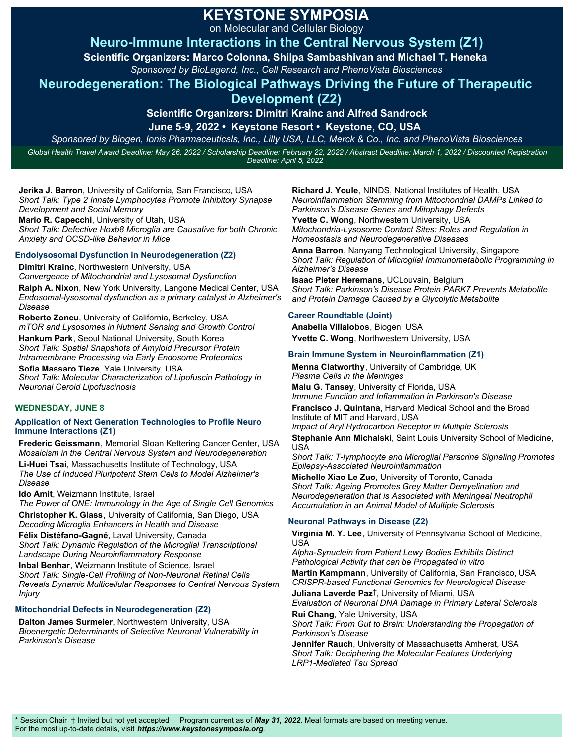on Molecular and Cellular Biology

# **Neuro-Immune Interactions in the Central Nervous System (Z1)**

**Scientific Organizers: Marco Colonna, Shilpa Sambashivan and Michael T. Heneka** 

*Sponsored by BioLegend, Inc., Cell Research and PhenoVista Biosciences*

## **Neurodegeneration: The Biological Pathways Driving the Future of Therapeutic**

## **Development (Z2)**

**Scientific Organizers: Dimitri Krainc and Alfred Sandrock June 5-9, 2022 • Keystone Resort • Keystone, CO, USA** 

*Sponsored by Biogen, Ionis Pharmaceuticals, Inc., Lilly USA, LLC, Merck & Co., Inc. and PhenoVista Biosciences Global Health Travel Award Deadline: May 26, 2022 / Scholarship Deadline: February 22, 2022 / Abstract Deadline: March 1, 2022 / Discounted Registration Deadline: April 5, 2022*

**Jerika J. Barron**, University of California, San Francisco, USA *Short Talk: Type 2 Innate Lymphocytes Promote Inhibitory Synapse Development and Social Memory*

**Mario R. Capecchi**, University of Utah, USA *Short Talk: Defective Hoxb8 Microglia are Causative for both Chronic Anxiety and OCSD-like Behavior in Mice*

### **Endolysosomal Dysfunction in Neurodegeneration (Z2)**

**Dimitri Krainc**, Northwestern University, USA *Convergence of Mitochondrial and Lysosomal Dysfunction* **Ralph A. Nixon**, New York University, Langone Medical Center, USA *Endosomal-lysosomal dysfunction as a primary catalyst in Alzheimer's Disease*

**Roberto Zoncu**, University of California, Berkeley, USA *mTOR and Lysosomes in Nutrient Sensing and Growth Control*

**Hankum Park**, Seoul National University, South Korea *Short Talk: Spatial Snapshots of Amyloid Precursor Protein Intramembrane Processing via Early Endosome Proteomics* 

**Sofia Massaro Tieze**, Yale University, USA *Short Talk: Molecular Characterization of Lipofuscin Pathology in Neuronal Ceroid Lipofuscinosis*

### **WEDNESDAY, JUNE 8**

#### **Application of Next Generation Technologies to Profile Neuro Immune Interactions (Z1)**

**Frederic Geissmann**, Memorial Sloan Kettering Cancer Center, USA *Mosaicism in the Central Nervous System and Neurodegeneration*

**Li-Huei Tsai**, Massachusetts Institute of Technology, USA *The Use of Induced Pluripotent Stem Cells to Model Alzheimer's Disease*

**Ido Amit**, Weizmann Institute, Israel

*The Power of ONE: Immunology in the Age of Single Cell Genomics* **Christopher K. Glass**, University of California, San Diego, USA *Decoding Microglia Enhancers in Health and Disease*

**Félix Distéfano-Gagné**, Laval University, Canada *Short Talk: Dynamic Regulation of the Microglial Transcriptional Landscape During Neuroinflammatory Response*

**Inbal Benhar**, Weizmann Institute of Science, Israel *Short Talk: Single-Cell Profiling of Non-Neuronal Retinal Cells Reveals Dynamic Multicellular Responses to Central Nervous System Injury*

### **Mitochondrial Defects in Neurodegeneration (Z2)**

**Dalton James Surmeier**, Northwestern University, USA *Bioenergetic Determinants of Selective Neuronal Vulnerability in Parkinson's Disease*

**Richard J. Youle**, NINDS, National Institutes of Health, USA *Neuroinflammation Stemming from Mitochondrial DAMPs Linked to Parkinson's Disease Genes and Mitophagy Defects*

**Yvette C. Wong**, Northwestern University, USA *Mitochondria-Lysosome Contact Sites: Roles and Regulation in Homeostasis and Neurodegenerative Diseases*

**Anna Barron**, Nanyang Technological University, Singapore *Short Talk: Regulation of Microglial Immunometabolic Programming in Alzheimer's Disease* 

**Isaac Pieter Heremans**, UCLouvain, Belgium *Short Talk: Parkinson's Disease Protein PARK7 Prevents Metabolite and Protein Damage Caused by a Glycolytic Metabolite*

### **Career Roundtable (Joint)**

**Anabella Villalobos**, Biogen, USA **Yvette C. Wong**, Northwestern University, USA

### **Brain Immune System in Neuroinflammation (Z1)**

**Menna Clatworthy**, University of Cambridge, UK *Plasma Cells in the Meninges*

**Malu G. Tansey**, University of Florida, USA *Immune Function and Inflammation in Parkinson's Disease*

**Francisco J. Quintana**, Harvard Medical School and the Broad Institute of MIT and Harvard, USA

*Impact of Aryl Hydrocarbon Receptor in Multiple Sclerosis*

**Stephanie Ann Michalski**, Saint Louis University School of Medicine, USA

*Short Talk: T-lymphocyte and Microglial Paracrine Signaling Promotes Epilepsy-Associated Neuroinflammation*

**Michelle Xiao Le Zuo**, University of Toronto, Canada *Short Talk: Ageing Promotes Grey Matter Demyelination and Neurodegeneration that is Associated with Meningeal Neutrophil Accumulation in an Animal Model of Multiple Sclerosis*

### **Neuronal Pathways in Disease (Z2)**

**Virginia M. Y. Lee**, University of Pennsylvania School of Medicine, USA

*Alpha-Synuclein from Patient Lewy Bodies Exhibits Distinct Pathological Activity that can be Propagated in vitro*

**Martin Kampmann**, University of California, San Francisco, USA *CRISPR-based Functional Genomics for Neurological Disease*

**Juliana Laverde Paz**†, University of Miami, USA

*Evaluation of Neuronal DNA Damage in Primary Lateral Sclerosis* **Rui Chang**, Yale University, USA

*Short Talk: From Gut to Brain: Understanding the Propagation of Parkinson's Disease*

**Jennifer Rauch**, University of Massachusetts Amherst, USA *Short Talk: Deciphering the Molecular Features Underlying LRP1-Mediated Tau Spread*